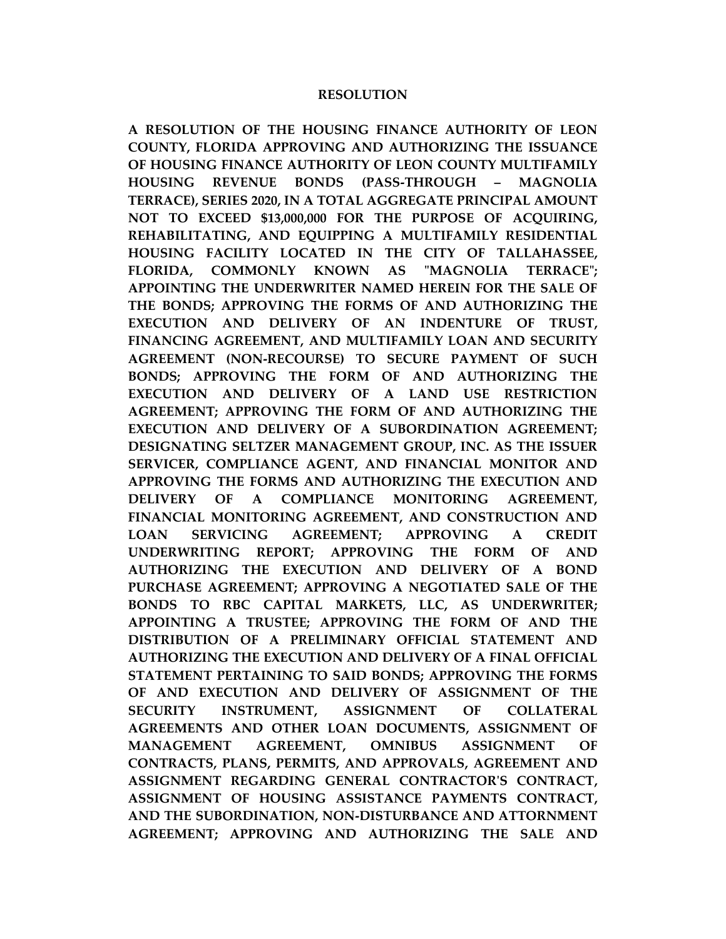#### **RESOLUTION**

**A RESOLUTION OF THE HOUSING FINANCE AUTHORITY OF LEON COUNTY, FLORIDA APPROVING AND AUTHORIZING THE ISSUANCE OF HOUSING FINANCE AUTHORITY OF LEON COUNTY MULTIFAMILY HOUSING REVENUE BONDS (PASS-THROUGH – MAGNOLIA TERRACE), SERIES 2020, IN A TOTAL AGGREGATE PRINCIPAL AMOUNT NOT TO EXCEED \$13,000,000 FOR THE PURPOSE OF ACQUIRING, REHABILITATING, AND EQUIPPING A MULTIFAMILY RESIDENTIAL HOUSING FACILITY LOCATED IN THE CITY OF TALLAHASSEE, FLORIDA, COMMONLY KNOWN AS "MAGNOLIA TERRACE"; APPOINTING THE UNDERWRITER NAMED HEREIN FOR THE SALE OF THE BONDS; APPROVING THE FORMS OF AND AUTHORIZING THE EXECUTION AND DELIVERY OF AN INDENTURE OF TRUST, FINANCING AGREEMENT, AND MULTIFAMILY LOAN AND SECURITY AGREEMENT (NON-RECOURSE) TO SECURE PAYMENT OF SUCH BONDS; APPROVING THE FORM OF AND AUTHORIZING THE EXECUTION AND DELIVERY OF A LAND USE RESTRICTION AGREEMENT; APPROVING THE FORM OF AND AUTHORIZING THE EXECUTION AND DELIVERY OF A SUBORDINATION AGREEMENT; DESIGNATING SELTZER MANAGEMENT GROUP, INC. AS THE ISSUER SERVICER, COMPLIANCE AGENT, AND FINANCIAL MONITOR AND APPROVING THE FORMS AND AUTHORIZING THE EXECUTION AND DELIVERY OF A COMPLIANCE MONITORING AGREEMENT, FINANCIAL MONITORING AGREEMENT, AND CONSTRUCTION AND LOAN SERVICING AGREEMENT; APPROVING A CREDIT UNDERWRITING REPORT; APPROVING THE FORM OF AND AUTHORIZING THE EXECUTION AND DELIVERY OF A BOND PURCHASE AGREEMENT; APPROVING A NEGOTIATED SALE OF THE BONDS TO RBC CAPITAL MARKETS, LLC, AS UNDERWRITER; APPOINTING A TRUSTEE; APPROVING THE FORM OF AND THE DISTRIBUTION OF A PRELIMINARY OFFICIAL STATEMENT AND AUTHORIZING THE EXECUTION AND DELIVERY OF A FINAL OFFICIAL STATEMENT PERTAINING TO SAID BONDS; APPROVING THE FORMS OF AND EXECUTION AND DELIVERY OF ASSIGNMENT OF THE SECURITY INSTRUMENT, ASSIGNMENT OF COLLATERAL AGREEMENTS AND OTHER LOAN DOCUMENTS, ASSIGNMENT OF MANAGEMENT AGREEMENT, OMNIBUS ASSIGNMENT OF CONTRACTS, PLANS, PERMITS, AND APPROVALS, AGREEMENT AND ASSIGNMENT REGARDING GENERAL CONTRACTOR'S CONTRACT, ASSIGNMENT OF HOUSING ASSISTANCE PAYMENTS CONTRACT, AND THE SUBORDINATION, NON-DISTURBANCE AND ATTORNMENT AGREEMENT; APPROVING AND AUTHORIZING THE SALE AND**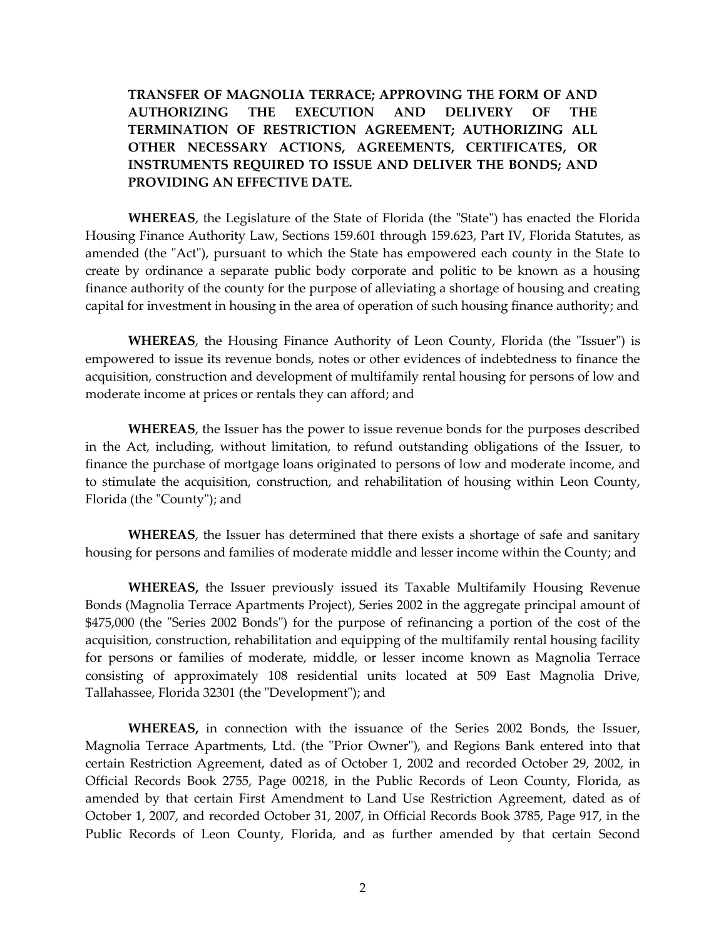**TRANSFER OF MAGNOLIA TERRACE; APPROVING THE FORM OF AND AUTHORIZING THE EXECUTION AND DELIVERY OF THE TERMINATION OF RESTRICTION AGREEMENT; AUTHORIZING ALL OTHER NECESSARY ACTIONS, AGREEMENTS, CERTIFICATES, OR INSTRUMENTS REQUIRED TO ISSUE AND DELIVER THE BONDS; AND PROVIDING AN EFFECTIVE DATE.**

**WHEREAS**, the Legislature of the State of Florida (the "State") has enacted the Florida Housing Finance Authority Law, Sections 159.601 through 159.623, Part IV, Florida Statutes, as amended (the "Act"), pursuant to which the State has empowered each county in the State to create by ordinance a separate public body corporate and politic to be known as a housing finance authority of the county for the purpose of alleviating a shortage of housing and creating capital for investment in housing in the area of operation of such housing finance authority; and

**WHEREAS**, the Housing Finance Authority of Leon County, Florida (the "Issuer") is empowered to issue its revenue bonds, notes or other evidences of indebtedness to finance the acquisition, construction and development of multifamily rental housing for persons of low and moderate income at prices or rentals they can afford; and

**WHEREAS**, the Issuer has the power to issue revenue bonds for the purposes described in the Act, including, without limitation, to refund outstanding obligations of the Issuer, to finance the purchase of mortgage loans originated to persons of low and moderate income, and to stimulate the acquisition, construction, and rehabilitation of housing within Leon County, Florida (the "County"); and

**WHEREAS**, the Issuer has determined that there exists a shortage of safe and sanitary housing for persons and families of moderate middle and lesser income within the County; and

**WHEREAS,** the Issuer previously issued its Taxable Multifamily Housing Revenue Bonds (Magnolia Terrace Apartments Project), Series 2002 in the aggregate principal amount of \$475,000 (the "Series 2002 Bonds") for the purpose of refinancing a portion of the cost of the acquisition, construction, rehabilitation and equipping of the multifamily rental housing facility for persons or families of moderate, middle, or lesser income known as Magnolia Terrace consisting of approximately 108 residential units located at 509 East Magnolia Drive, Tallahassee, Florida 32301 (the "Development"); and

**WHEREAS,** in connection with the issuance of the Series 2002 Bonds, the Issuer, Magnolia Terrace Apartments, Ltd. (the "Prior Owner"), and Regions Bank entered into that certain Restriction Agreement, dated as of October 1, 2002 and recorded October 29, 2002, in Official Records Book 2755, Page 00218, in the Public Records of Leon County, Florida, as amended by that certain First Amendment to Land Use Restriction Agreement, dated as of October 1, 2007, and recorded October 31, 2007, in Official Records Book 3785, Page 917, in the Public Records of Leon County, Florida, and as further amended by that certain Second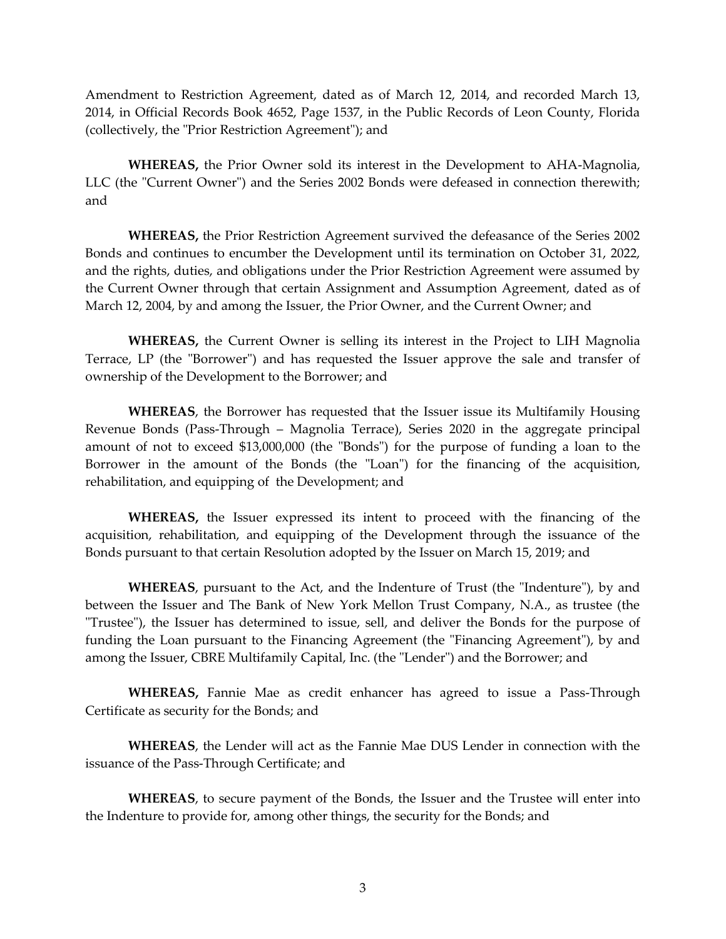Amendment to Restriction Agreement, dated as of March 12, 2014, and recorded March 13, 2014, in Official Records Book 4652, Page 1537, in the Public Records of Leon County, Florida (collectively, the "Prior Restriction Agreement"); and

**WHEREAS,** the Prior Owner sold its interest in the Development to AHA-Magnolia, LLC (the "Current Owner") and the Series 2002 Bonds were defeased in connection therewith; and

**WHEREAS,** the Prior Restriction Agreement survived the defeasance of the Series 2002 Bonds and continues to encumber the Development until its termination on October 31, 2022, and the rights, duties, and obligations under the Prior Restriction Agreement were assumed by the Current Owner through that certain Assignment and Assumption Agreement, dated as of March 12, 2004, by and among the Issuer, the Prior Owner, and the Current Owner; and

**WHEREAS,** the Current Owner is selling its interest in the Project to LIH Magnolia Terrace, LP (the "Borrower") and has requested the Issuer approve the sale and transfer of ownership of the Development to the Borrower; and

**WHEREAS**, the Borrower has requested that the Issuer issue its Multifamily Housing Revenue Bonds (Pass-Through – Magnolia Terrace), Series 2020 in the aggregate principal amount of not to exceed \$13,000,000 (the "Bonds") for the purpose of funding a loan to the Borrower in the amount of the Bonds (the "Loan") for the financing of the acquisition, rehabilitation, and equipping of the Development; and

**WHEREAS,** the Issuer expressed its intent to proceed with the financing of the acquisition, rehabilitation, and equipping of the Development through the issuance of the Bonds pursuant to that certain Resolution adopted by the Issuer on March 15, 2019; and

**WHEREAS**, pursuant to the Act, and the Indenture of Trust (the "Indenture"), by and between the Issuer and The Bank of New York Mellon Trust Company, N.A., as trustee (the "Trustee"), the Issuer has determined to issue, sell, and deliver the Bonds for the purpose of funding the Loan pursuant to the Financing Agreement (the "Financing Agreement"), by and among the Issuer, CBRE Multifamily Capital, Inc. (the "Lender") and the Borrower; and

**WHEREAS,** Fannie Mae as credit enhancer has agreed to issue a Pass-Through Certificate as security for the Bonds; and

**WHEREAS**, the Lender will act as the Fannie Mae DUS Lender in connection with the issuance of the Pass-Through Certificate; and

**WHEREAS**, to secure payment of the Bonds, the Issuer and the Trustee will enter into the Indenture to provide for, among other things, the security for the Bonds; and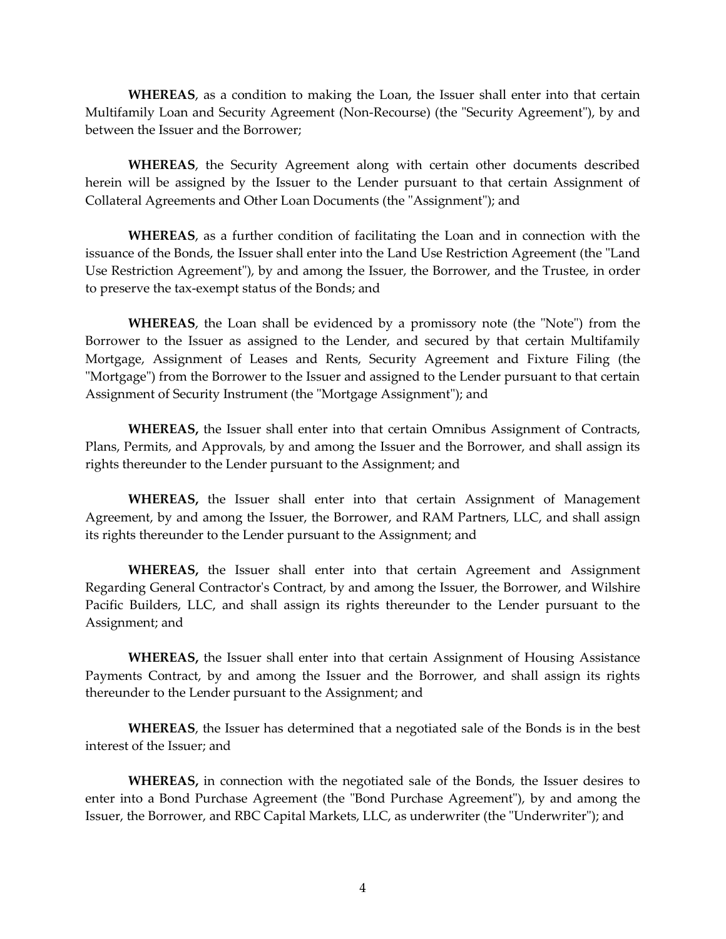**WHEREAS**, as a condition to making the Loan, the Issuer shall enter into that certain Multifamily Loan and Security Agreement (Non-Recourse) (the "Security Agreement"), by and between the Issuer and the Borrower;

**WHEREAS**, the Security Agreement along with certain other documents described herein will be assigned by the Issuer to the Lender pursuant to that certain Assignment of Collateral Agreements and Other Loan Documents (the "Assignment"); and

**WHEREAS**, as a further condition of facilitating the Loan and in connection with the issuance of the Bonds, the Issuer shall enter into the Land Use Restriction Agreement (the "Land Use Restriction Agreement"), by and among the Issuer, the Borrower, and the Trustee, in order to preserve the tax-exempt status of the Bonds; and

**WHEREAS**, the Loan shall be evidenced by a promissory note (the "Note") from the Borrower to the Issuer as assigned to the Lender, and secured by that certain Multifamily Mortgage, Assignment of Leases and Rents, Security Agreement and Fixture Filing (the "Mortgage") from the Borrower to the Issuer and assigned to the Lender pursuant to that certain Assignment of Security Instrument (the "Mortgage Assignment"); and

**WHEREAS,** the Issuer shall enter into that certain Omnibus Assignment of Contracts, Plans, Permits, and Approvals, by and among the Issuer and the Borrower, and shall assign its rights thereunder to the Lender pursuant to the Assignment; and

**WHEREAS,** the Issuer shall enter into that certain Assignment of Management Agreement, by and among the Issuer, the Borrower, and RAM Partners, LLC, and shall assign its rights thereunder to the Lender pursuant to the Assignment; and

**WHEREAS,** the Issuer shall enter into that certain Agreement and Assignment Regarding General Contractor's Contract, by and among the Issuer, the Borrower, and Wilshire Pacific Builders, LLC, and shall assign its rights thereunder to the Lender pursuant to the Assignment; and

**WHEREAS,** the Issuer shall enter into that certain Assignment of Housing Assistance Payments Contract, by and among the Issuer and the Borrower, and shall assign its rights thereunder to the Lender pursuant to the Assignment; and

**WHEREAS**, the Issuer has determined that a negotiated sale of the Bonds is in the best interest of the Issuer; and

**WHEREAS,** in connection with the negotiated sale of the Bonds, the Issuer desires to enter into a Bond Purchase Agreement (the "Bond Purchase Agreement"), by and among the Issuer, the Borrower, and RBC Capital Markets, LLC, as underwriter (the "Underwriter"); and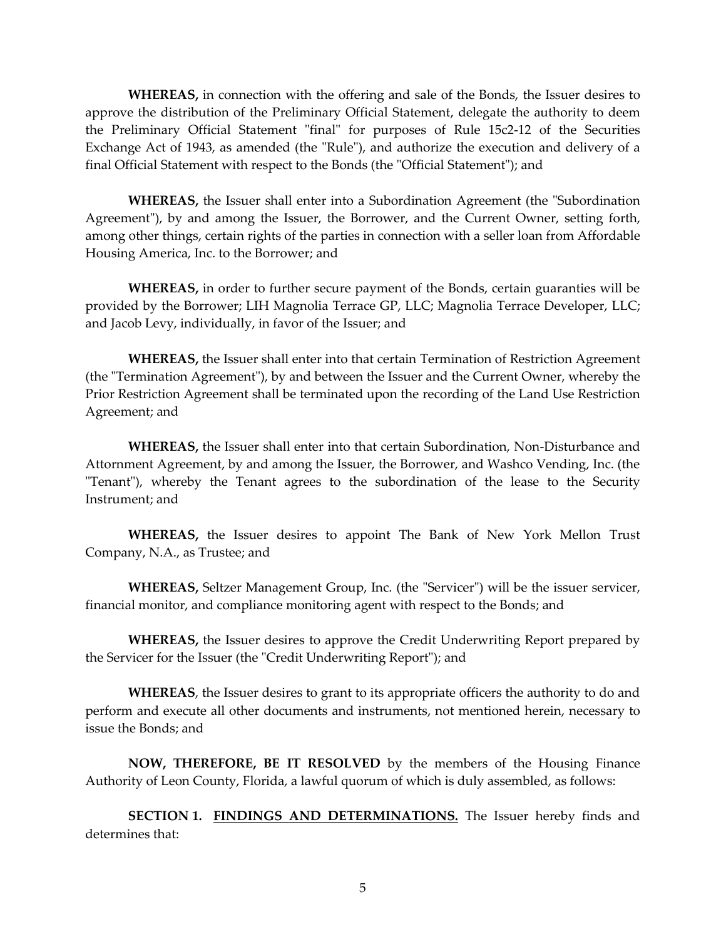**WHEREAS,** in connection with the offering and sale of the Bonds, the Issuer desires to approve the distribution of the Preliminary Official Statement, delegate the authority to deem the Preliminary Official Statement "final" for purposes of Rule 15c2-12 of the Securities Exchange Act of 1943, as amended (the "Rule"), and authorize the execution and delivery of a final Official Statement with respect to the Bonds (the "Official Statement"); and

**WHEREAS,** the Issuer shall enter into a Subordination Agreement (the "Subordination Agreement"), by and among the Issuer, the Borrower, and the Current Owner, setting forth, among other things, certain rights of the parties in connection with a seller loan from Affordable Housing America, Inc. to the Borrower; and

**WHEREAS,** in order to further secure payment of the Bonds, certain guaranties will be provided by the Borrower; LIH Magnolia Terrace GP, LLC; Magnolia Terrace Developer, LLC; and Jacob Levy, individually, in favor of the Issuer; and

**WHEREAS,** the Issuer shall enter into that certain Termination of Restriction Agreement (the "Termination Agreement"), by and between the Issuer and the Current Owner, whereby the Prior Restriction Agreement shall be terminated upon the recording of the Land Use Restriction Agreement; and

**WHEREAS,** the Issuer shall enter into that certain Subordination, Non-Disturbance and Attornment Agreement, by and among the Issuer, the Borrower, and Washco Vending, Inc. (the "Tenant"), whereby the Tenant agrees to the subordination of the lease to the Security Instrument; and

**WHEREAS,** the Issuer desires to appoint The Bank of New York Mellon Trust Company, N.A., as Trustee; and

**WHEREAS,** Seltzer Management Group, Inc. (the "Servicer") will be the issuer servicer, financial monitor, and compliance monitoring agent with respect to the Bonds; and

**WHEREAS,** the Issuer desires to approve the Credit Underwriting Report prepared by the Servicer for the Issuer (the "Credit Underwriting Report"); and

**WHEREAS**, the Issuer desires to grant to its appropriate officers the authority to do and perform and execute all other documents and instruments, not mentioned herein, necessary to issue the Bonds; and

**NOW, THEREFORE, BE IT RESOLVED** by the members of the Housing Finance Authority of Leon County, Florida, a lawful quorum of which is duly assembled, as follows:

**SECTION 1. FINDINGS AND DETERMINATIONS.** The Issuer hereby finds and determines that: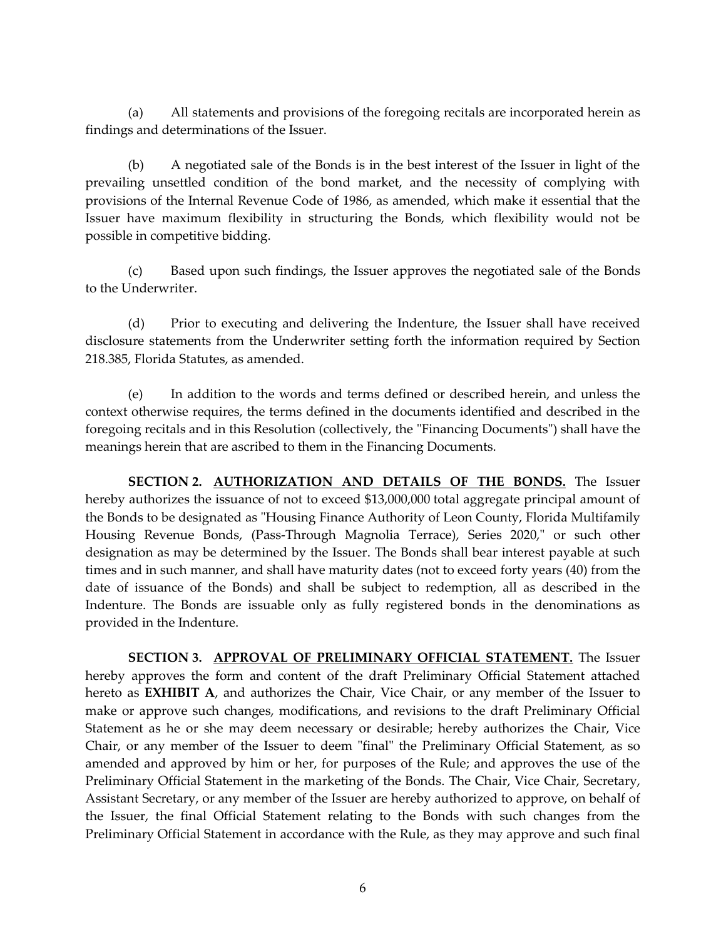(a) All statements and provisions of the foregoing recitals are incorporated herein as findings and determinations of the Issuer.

(b) A negotiated sale of the Bonds is in the best interest of the Issuer in light of the prevailing unsettled condition of the bond market, and the necessity of complying with provisions of the Internal Revenue Code of 1986, as amended, which make it essential that the Issuer have maximum flexibility in structuring the Bonds, which flexibility would not be possible in competitive bidding.

(c) Based upon such findings, the Issuer approves the negotiated sale of the Bonds to the Underwriter.

(d) Prior to executing and delivering the Indenture, the Issuer shall have received disclosure statements from the Underwriter setting forth the information required by Section 218.385, Florida Statutes, as amended.

(e) In addition to the words and terms defined or described herein, and unless the context otherwise requires, the terms defined in the documents identified and described in the foregoing recitals and in this Resolution (collectively, the "Financing Documents") shall have the meanings herein that are ascribed to them in the Financing Documents.

**SECTION 2. AUTHORIZATION AND DETAILS OF THE BONDS.** The Issuer hereby authorizes the issuance of not to exceed \$13,000,000 total aggregate principal amount of the Bonds to be designated as "Housing Finance Authority of Leon County, Florida Multifamily Housing Revenue Bonds, (Pass-Through Magnolia Terrace), Series 2020," or such other designation as may be determined by the Issuer. The Bonds shall bear interest payable at such times and in such manner, and shall have maturity dates (not to exceed forty years (40) from the date of issuance of the Bonds) and shall be subject to redemption, all as described in the Indenture. The Bonds are issuable only as fully registered bonds in the denominations as provided in the Indenture.

**SECTION 3. APPROVAL OF PRELIMINARY OFFICIAL STATEMENT.** The Issuer hereby approves the form and content of the draft Preliminary Official Statement attached hereto as **EXHIBIT A**, and authorizes the Chair, Vice Chair, or any member of the Issuer to make or approve such changes, modifications, and revisions to the draft Preliminary Official Statement as he or she may deem necessary or desirable; hereby authorizes the Chair, Vice Chair, or any member of the Issuer to deem "final" the Preliminary Official Statement, as so amended and approved by him or her, for purposes of the Rule; and approves the use of the Preliminary Official Statement in the marketing of the Bonds. The Chair, Vice Chair, Secretary, Assistant Secretary, or any member of the Issuer are hereby authorized to approve, on behalf of the Issuer, the final Official Statement relating to the Bonds with such changes from the Preliminary Official Statement in accordance with the Rule, as they may approve and such final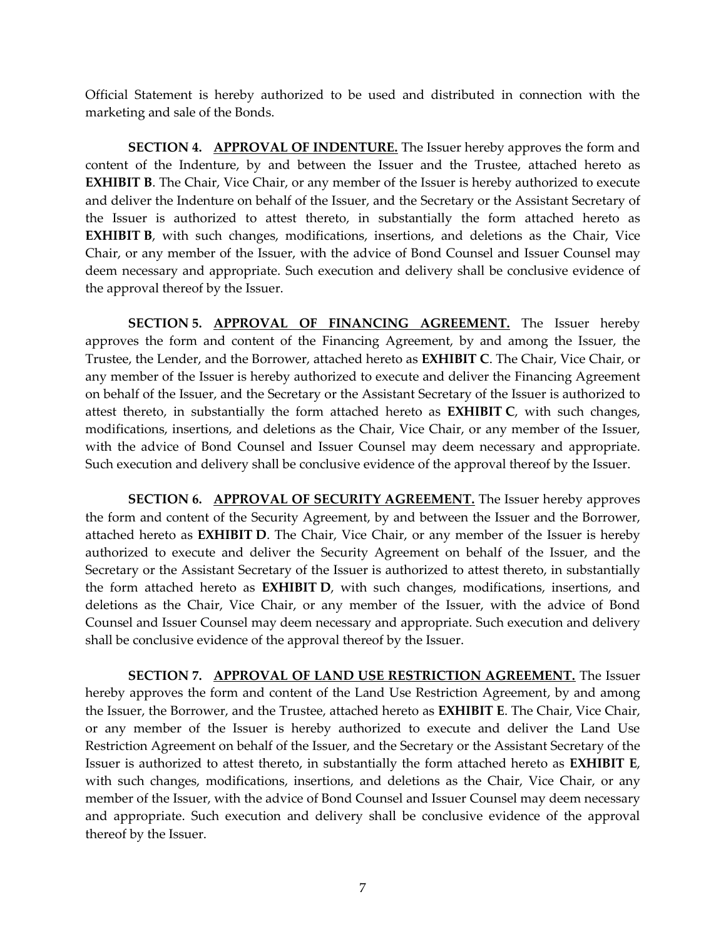Official Statement is hereby authorized to be used and distributed in connection with the marketing and sale of the Bonds.

**SECTION 4. APPROVAL OF INDENTURE.** The Issuer hereby approves the form and content of the Indenture, by and between the Issuer and the Trustee, attached hereto as **EXHIBIT B**. The Chair, Vice Chair, or any member of the Issuer is hereby authorized to execute and deliver the Indenture on behalf of the Issuer, and the Secretary or the Assistant Secretary of the Issuer is authorized to attest thereto, in substantially the form attached hereto as **EXHIBIT B**, with such changes, modifications, insertions, and deletions as the Chair, Vice Chair, or any member of the Issuer, with the advice of Bond Counsel and Issuer Counsel may deem necessary and appropriate. Such execution and delivery shall be conclusive evidence of the approval thereof by the Issuer.

**SECTION 5. APPROVAL OF FINANCING AGREEMENT.** The Issuer hereby approves the form and content of the Financing Agreement, by and among the Issuer, the Trustee, the Lender, and the Borrower, attached hereto as **EXHIBIT C**. The Chair, Vice Chair, or any member of the Issuer is hereby authorized to execute and deliver the Financing Agreement on behalf of the Issuer, and the Secretary or the Assistant Secretary of the Issuer is authorized to attest thereto, in substantially the form attached hereto as **EXHIBIT C**, with such changes, modifications, insertions, and deletions as the Chair, Vice Chair, or any member of the Issuer, with the advice of Bond Counsel and Issuer Counsel may deem necessary and appropriate. Such execution and delivery shall be conclusive evidence of the approval thereof by the Issuer.

**SECTION 6. APPROVAL OF SECURITY AGREEMENT.** The Issuer hereby approves the form and content of the Security Agreement, by and between the Issuer and the Borrower, attached hereto as **EXHIBIT D**. The Chair, Vice Chair, or any member of the Issuer is hereby authorized to execute and deliver the Security Agreement on behalf of the Issuer, and the Secretary or the Assistant Secretary of the Issuer is authorized to attest thereto, in substantially the form attached hereto as **EXHIBIT D**, with such changes, modifications, insertions, and deletions as the Chair, Vice Chair, or any member of the Issuer, with the advice of Bond Counsel and Issuer Counsel may deem necessary and appropriate. Such execution and delivery shall be conclusive evidence of the approval thereof by the Issuer.

**SECTION 7. APPROVAL OF LAND USE RESTRICTION AGREEMENT.** The Issuer hereby approves the form and content of the Land Use Restriction Agreement, by and among the Issuer, the Borrower, and the Trustee, attached hereto as **EXHIBIT E**. The Chair, Vice Chair, or any member of the Issuer is hereby authorized to execute and deliver the Land Use Restriction Agreement on behalf of the Issuer, and the Secretary or the Assistant Secretary of the Issuer is authorized to attest thereto, in substantially the form attached hereto as **EXHIBIT E**, with such changes, modifications, insertions, and deletions as the Chair, Vice Chair, or any member of the Issuer, with the advice of Bond Counsel and Issuer Counsel may deem necessary and appropriate. Such execution and delivery shall be conclusive evidence of the approval thereof by the Issuer.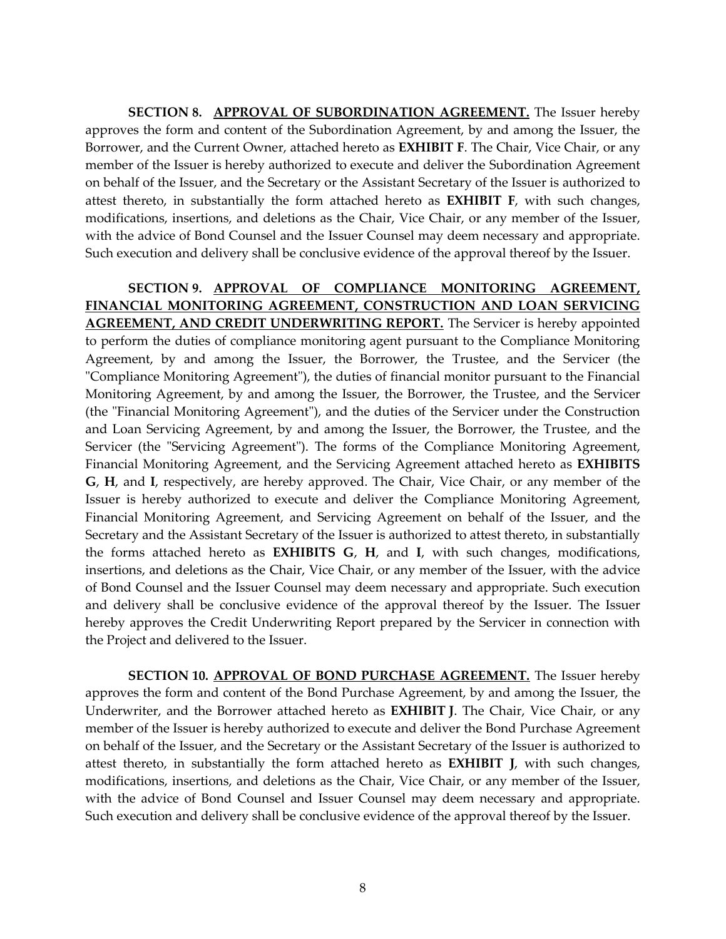**SECTION 8. APPROVAL OF SUBORDINATION AGREEMENT.** The Issuer hereby approves the form and content of the Subordination Agreement, by and among the Issuer, the Borrower, and the Current Owner, attached hereto as **EXHIBIT F**. The Chair, Vice Chair, or any member of the Issuer is hereby authorized to execute and deliver the Subordination Agreement on behalf of the Issuer, and the Secretary or the Assistant Secretary of the Issuer is authorized to attest thereto, in substantially the form attached hereto as **EXHIBIT F**, with such changes, modifications, insertions, and deletions as the Chair, Vice Chair, or any member of the Issuer, with the advice of Bond Counsel and the Issuer Counsel may deem necessary and appropriate. Such execution and delivery shall be conclusive evidence of the approval thereof by the Issuer.

**SECTION 9. APPROVAL OF COMPLIANCE MONITORING AGREEMENT, FINANCIAL MONITORING AGREEMENT, CONSTRUCTION AND LOAN SERVICING AGREEMENT, AND CREDIT UNDERWRITING REPORT.** The Servicer is hereby appointed to perform the duties of compliance monitoring agent pursuant to the Compliance Monitoring Agreement, by and among the Issuer, the Borrower, the Trustee, and the Servicer (the "Compliance Monitoring Agreement"), the duties of financial monitor pursuant to the Financial Monitoring Agreement, by and among the Issuer, the Borrower, the Trustee, and the Servicer (the "Financial Monitoring Agreement"), and the duties of the Servicer under the Construction and Loan Servicing Agreement, by and among the Issuer, the Borrower, the Trustee, and the Servicer (the "Servicing Agreement"). The forms of the Compliance Monitoring Agreement, Financial Monitoring Agreement, and the Servicing Agreement attached hereto as **EXHIBITS G**, **H**, and **I**, respectively, are hereby approved. The Chair, Vice Chair, or any member of the Issuer is hereby authorized to execute and deliver the Compliance Monitoring Agreement, Financial Monitoring Agreement, and Servicing Agreement on behalf of the Issuer, and the Secretary and the Assistant Secretary of the Issuer is authorized to attest thereto, in substantially the forms attached hereto as **EXHIBITS G**, **H**, and **I**, with such changes, modifications, insertions, and deletions as the Chair, Vice Chair, or any member of the Issuer, with the advice of Bond Counsel and the Issuer Counsel may deem necessary and appropriate. Such execution and delivery shall be conclusive evidence of the approval thereof by the Issuer. The Issuer hereby approves the Credit Underwriting Report prepared by the Servicer in connection with the Project and delivered to the Issuer.

**SECTION 10. APPROVAL OF BOND PURCHASE AGREEMENT.** The Issuer hereby approves the form and content of the Bond Purchase Agreement, by and among the Issuer, the Underwriter, and the Borrower attached hereto as **EXHIBIT J**. The Chair, Vice Chair, or any member of the Issuer is hereby authorized to execute and deliver the Bond Purchase Agreement on behalf of the Issuer, and the Secretary or the Assistant Secretary of the Issuer is authorized to attest thereto, in substantially the form attached hereto as **EXHIBIT J**, with such changes, modifications, insertions, and deletions as the Chair, Vice Chair, or any member of the Issuer, with the advice of Bond Counsel and Issuer Counsel may deem necessary and appropriate. Such execution and delivery shall be conclusive evidence of the approval thereof by the Issuer.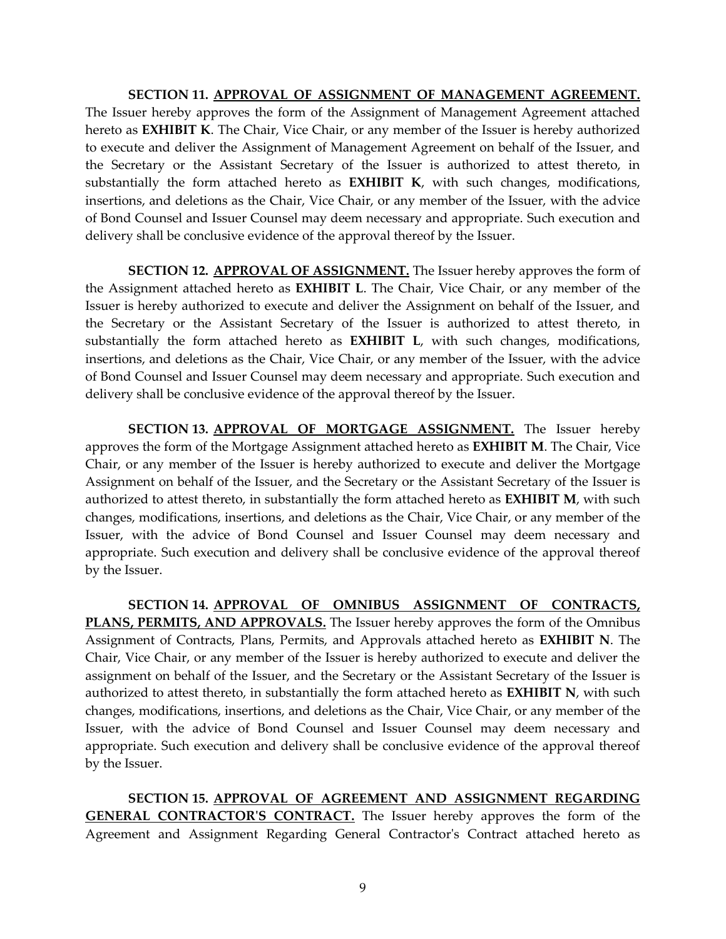**SECTION 11. APPROVAL OF ASSIGNMENT OF MANAGEMENT AGREEMENT.** The Issuer hereby approves the form of the Assignment of Management Agreement attached hereto as **EXHIBIT K**. The Chair, Vice Chair, or any member of the Issuer is hereby authorized to execute and deliver the Assignment of Management Agreement on behalf of the Issuer, and the Secretary or the Assistant Secretary of the Issuer is authorized to attest thereto, in substantially the form attached hereto as **EXHIBIT K**, with such changes, modifications, insertions, and deletions as the Chair, Vice Chair, or any member of the Issuer, with the advice of Bond Counsel and Issuer Counsel may deem necessary and appropriate. Such execution and delivery shall be conclusive evidence of the approval thereof by the Issuer.

**SECTION 12. APPROVAL OF ASSIGNMENT.** The Issuer hereby approves the form of the Assignment attached hereto as **EXHIBIT L**. The Chair, Vice Chair, or any member of the Issuer is hereby authorized to execute and deliver the Assignment on behalf of the Issuer, and the Secretary or the Assistant Secretary of the Issuer is authorized to attest thereto, in substantially the form attached hereto as **EXHIBIT L**, with such changes, modifications, insertions, and deletions as the Chair, Vice Chair, or any member of the Issuer, with the advice of Bond Counsel and Issuer Counsel may deem necessary and appropriate. Such execution and delivery shall be conclusive evidence of the approval thereof by the Issuer.

**SECTION 13. APPROVAL OF MORTGAGE ASSIGNMENT.** The Issuer hereby approves the form of the Mortgage Assignment attached hereto as **EXHIBIT M**. The Chair, Vice Chair, or any member of the Issuer is hereby authorized to execute and deliver the Mortgage Assignment on behalf of the Issuer, and the Secretary or the Assistant Secretary of the Issuer is authorized to attest thereto, in substantially the form attached hereto as **EXHIBIT M**, with such changes, modifications, insertions, and deletions as the Chair, Vice Chair, or any member of the Issuer, with the advice of Bond Counsel and Issuer Counsel may deem necessary and appropriate. Such execution and delivery shall be conclusive evidence of the approval thereof by the Issuer.

**SECTION 14. APPROVAL OF OMNIBUS ASSIGNMENT OF CONTRACTS, PLANS, PERMITS, AND APPROVALS.** The Issuer hereby approves the form of the Omnibus Assignment of Contracts, Plans, Permits, and Approvals attached hereto as **EXHIBIT N**. The Chair, Vice Chair, or any member of the Issuer is hereby authorized to execute and deliver the assignment on behalf of the Issuer, and the Secretary or the Assistant Secretary of the Issuer is authorized to attest thereto, in substantially the form attached hereto as **EXHIBIT N**, with such changes, modifications, insertions, and deletions as the Chair, Vice Chair, or any member of the Issuer, with the advice of Bond Counsel and Issuer Counsel may deem necessary and appropriate. Such execution and delivery shall be conclusive evidence of the approval thereof by the Issuer.

**SECTION 15. APPROVAL OF AGREEMENT AND ASSIGNMENT REGARDING GENERAL CONTRACTOR'S CONTRACT.** The Issuer hereby approves the form of the Agreement and Assignment Regarding General Contractor's Contract attached hereto as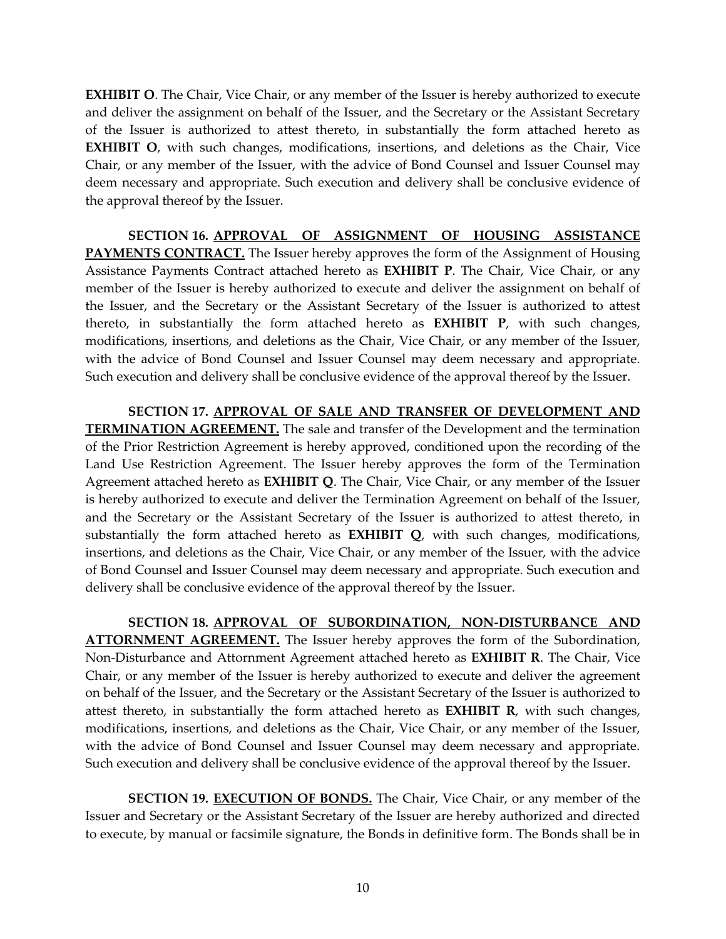**EXHIBIT O**. The Chair, Vice Chair, or any member of the Issuer is hereby authorized to execute and deliver the assignment on behalf of the Issuer, and the Secretary or the Assistant Secretary of the Issuer is authorized to attest thereto, in substantially the form attached hereto as **EXHIBIT O**, with such changes, modifications, insertions, and deletions as the Chair, Vice Chair, or any member of the Issuer, with the advice of Bond Counsel and Issuer Counsel may deem necessary and appropriate. Such execution and delivery shall be conclusive evidence of the approval thereof by the Issuer.

**SECTION 16. APPROVAL OF ASSIGNMENT OF HOUSING ASSISTANCE PAYMENTS CONTRACT.** The Issuer hereby approves the form of the Assignment of Housing Assistance Payments Contract attached hereto as **EXHIBIT P**. The Chair, Vice Chair, or any member of the Issuer is hereby authorized to execute and deliver the assignment on behalf of the Issuer, and the Secretary or the Assistant Secretary of the Issuer is authorized to attest thereto, in substantially the form attached hereto as **EXHIBIT P**, with such changes, modifications, insertions, and deletions as the Chair, Vice Chair, or any member of the Issuer, with the advice of Bond Counsel and Issuer Counsel may deem necessary and appropriate. Such execution and delivery shall be conclusive evidence of the approval thereof by the Issuer.

**SECTION 17. APPROVAL OF SALE AND TRANSFER OF DEVELOPMENT AND TERMINATION AGREEMENT.** The sale and transfer of the Development and the termination of the Prior Restriction Agreement is hereby approved, conditioned upon the recording of the Land Use Restriction Agreement. The Issuer hereby approves the form of the Termination Agreement attached hereto as **EXHIBIT Q**. The Chair, Vice Chair, or any member of the Issuer is hereby authorized to execute and deliver the Termination Agreement on behalf of the Issuer, and the Secretary or the Assistant Secretary of the Issuer is authorized to attest thereto, in substantially the form attached hereto as **EXHIBIT Q**, with such changes, modifications, insertions, and deletions as the Chair, Vice Chair, or any member of the Issuer, with the advice of Bond Counsel and Issuer Counsel may deem necessary and appropriate. Such execution and delivery shall be conclusive evidence of the approval thereof by the Issuer.

**SECTION 18. APPROVAL OF SUBORDINATION, NON-DISTURBANCE AND ATTORNMENT AGREEMENT.** The Issuer hereby approves the form of the Subordination, Non-Disturbance and Attornment Agreement attached hereto as **EXHIBIT R**. The Chair, Vice Chair, or any member of the Issuer is hereby authorized to execute and deliver the agreement on behalf of the Issuer, and the Secretary or the Assistant Secretary of the Issuer is authorized to attest thereto, in substantially the form attached hereto as **EXHIBIT R**, with such changes, modifications, insertions, and deletions as the Chair, Vice Chair, or any member of the Issuer, with the advice of Bond Counsel and Issuer Counsel may deem necessary and appropriate. Such execution and delivery shall be conclusive evidence of the approval thereof by the Issuer.

**SECTION 19. EXECUTION OF BONDS.** The Chair, Vice Chair, or any member of the Issuer and Secretary or the Assistant Secretary of the Issuer are hereby authorized and directed to execute, by manual or facsimile signature, the Bonds in definitive form. The Bonds shall be in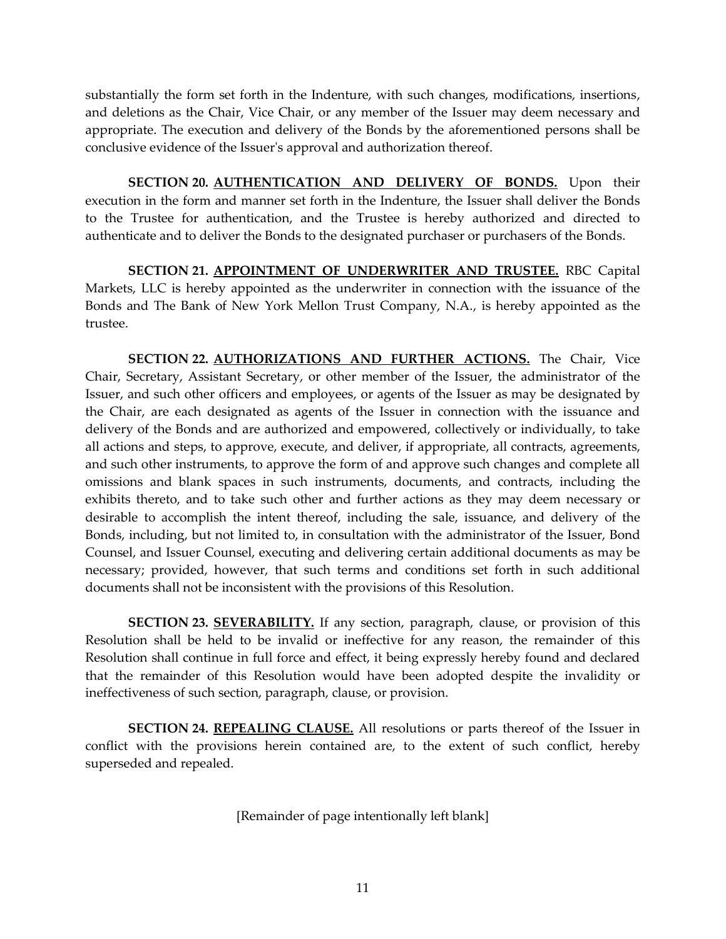substantially the form set forth in the Indenture, with such changes, modifications, insertions, and deletions as the Chair, Vice Chair, or any member of the Issuer may deem necessary and appropriate. The execution and delivery of the Bonds by the aforementioned persons shall be conclusive evidence of the Issuer's approval and authorization thereof.

**SECTION 20. AUTHENTICATION AND DELIVERY OF BONDS.** Upon their execution in the form and manner set forth in the Indenture, the Issuer shall deliver the Bonds to the Trustee for authentication, and the Trustee is hereby authorized and directed to authenticate and to deliver the Bonds to the designated purchaser or purchasers of the Bonds.

**SECTION 21. APPOINTMENT OF UNDERWRITER AND TRUSTEE.** RBC Capital Markets, LLC is hereby appointed as the underwriter in connection with the issuance of the Bonds and The Bank of New York Mellon Trust Company, N.A., is hereby appointed as the trustee.

**SECTION 22. AUTHORIZATIONS AND FURTHER ACTIONS.** The Chair, Vice Chair, Secretary, Assistant Secretary, or other member of the Issuer, the administrator of the Issuer, and such other officers and employees, or agents of the Issuer as may be designated by the Chair, are each designated as agents of the Issuer in connection with the issuance and delivery of the Bonds and are authorized and empowered, collectively or individually, to take all actions and steps, to approve, execute, and deliver, if appropriate, all contracts, agreements, and such other instruments, to approve the form of and approve such changes and complete all omissions and blank spaces in such instruments, documents, and contracts, including the exhibits thereto, and to take such other and further actions as they may deem necessary or desirable to accomplish the intent thereof, including the sale, issuance, and delivery of the Bonds, including, but not limited to, in consultation with the administrator of the Issuer, Bond Counsel, and Issuer Counsel, executing and delivering certain additional documents as may be necessary; provided, however, that such terms and conditions set forth in such additional documents shall not be inconsistent with the provisions of this Resolution.

**SECTION 23. SEVERABILITY.** If any section, paragraph, clause, or provision of this Resolution shall be held to be invalid or ineffective for any reason, the remainder of this Resolution shall continue in full force and effect, it being expressly hereby found and declared that the remainder of this Resolution would have been adopted despite the invalidity or ineffectiveness of such section, paragraph, clause, or provision.

**SECTION 24. REPEALING CLAUSE.** All resolutions or parts thereof of the Issuer in conflict with the provisions herein contained are, to the extent of such conflict, hereby superseded and repealed.

[Remainder of page intentionally left blank]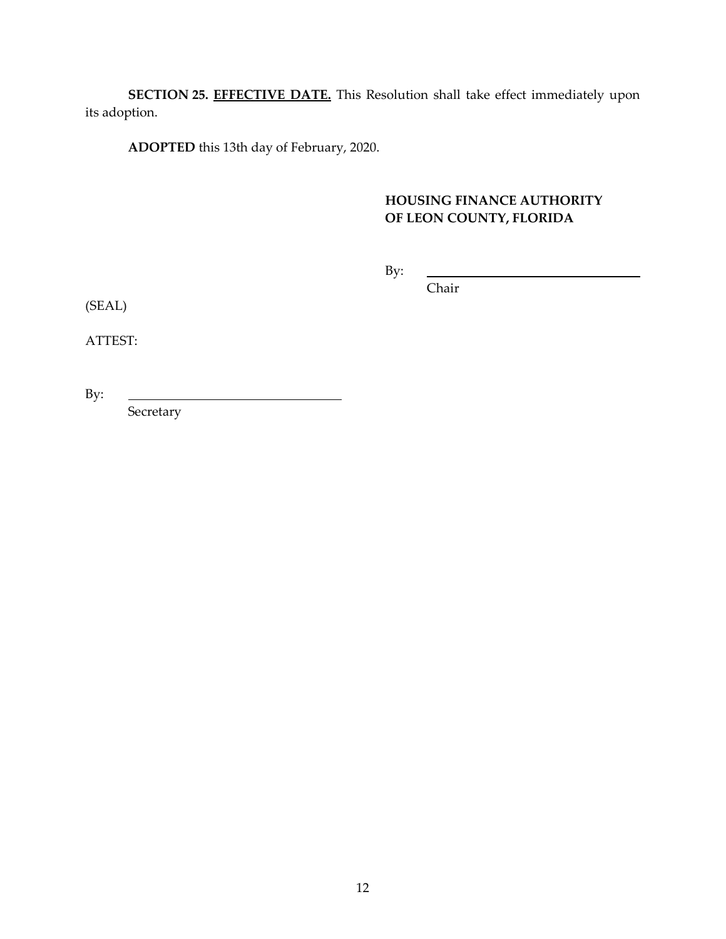**SECTION 25. EFFECTIVE DATE.** This Resolution shall take effect immediately upon its adoption.

**ADOPTED** this 13th day of February, 2020.

# **HOUSING FINANCE AUTHORITY OF LEON COUNTY, FLORIDA**

By:

Chair

(SEAL)

ATTEST:

By:

Secretary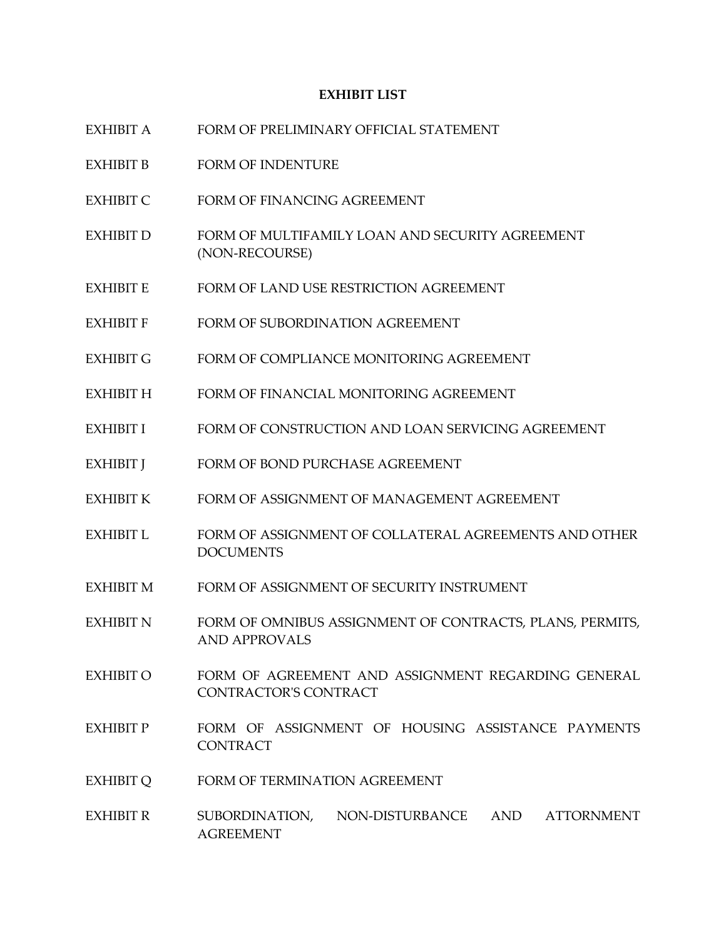#### **EXHIBIT LIST**

- EXHIBIT A FORM OF PRELIMINARY OFFICIAL STATEMENT
- EXHIBIT B FORM OF INDENTURE
- EXHIBIT C FORM OF FINANCING AGREEMENT
- EXHIBIT D FORM OF MULTIFAMILY LOAN AND SECURITY AGREEMENT (NON-RECOURSE)
- EXHIBIT E FORM OF LAND USE RESTRICTION AGREEMENT
- EXHIBIT F FORM OF SUBORDINATION AGREEMENT
- EXHIBIT G FORM OF COMPLIANCE MONITORING AGREEMENT
- EXHIBIT H FORM OF FINANCIAL MONITORING AGREEMENT
- EXHIBIT I FORM OF CONSTRUCTION AND LOAN SERVICING AGREEMENT
- EXHIBIT J FORM OF BOND PURCHASE AGREEMENT
- EXHIBIT K FORM OF ASSIGNMENT OF MANAGEMENT AGREEMENT
- EXHIBIT L FORM OF ASSIGNMENT OF COLLATERAL AGREEMENTS AND OTHER DOCUMENTS
- EXHIBIT M FORM OF ASSIGNMENT OF SECURITY INSTRUMENT
- EXHIBIT N FORM OF OMNIBUS ASSIGNMENT OF CONTRACTS, PLANS, PERMITS, AND APPROVALS
- EXHIBIT O FORM OF AGREEMENT AND ASSIGNMENT REGARDING GENERAL CONTRACTOR'S CONTRACT
- EXHIBIT P FORM OF ASSIGNMENT OF HOUSING ASSISTANCE PAYMENTS **CONTRACT**
- EXHIBIT O FORM OF TERMINATION AGREEMENT
- EXHIBIT R SUBORDINATION, NON-DISTURBANCE AND ATTORNMENT AGREEMENT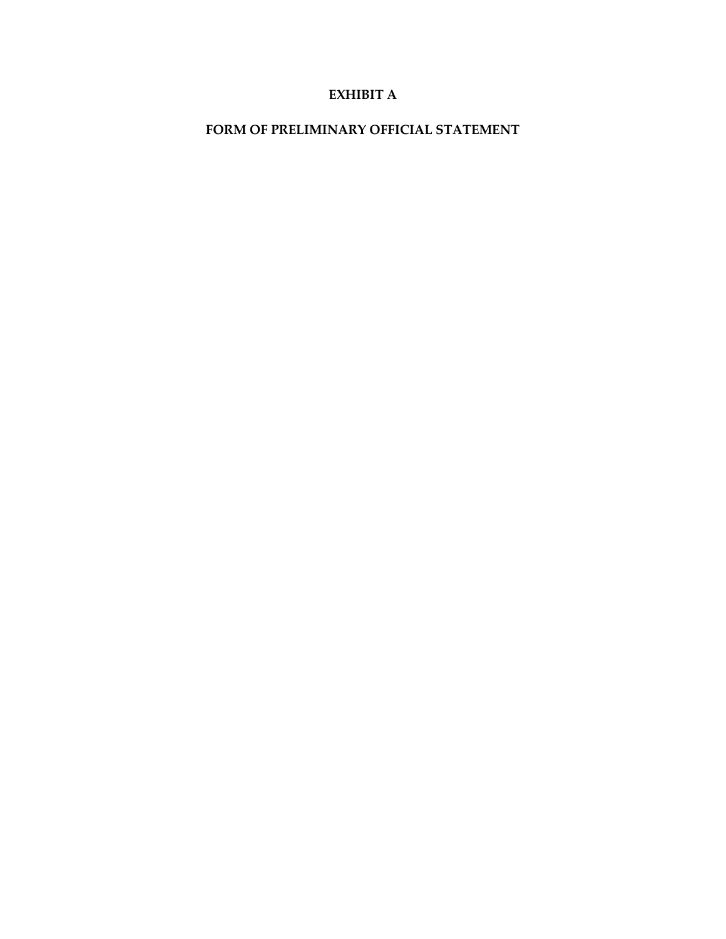### **EXHIBIT A**

### **FORM OF PRELIMINARY OFFICIAL STATEMENT**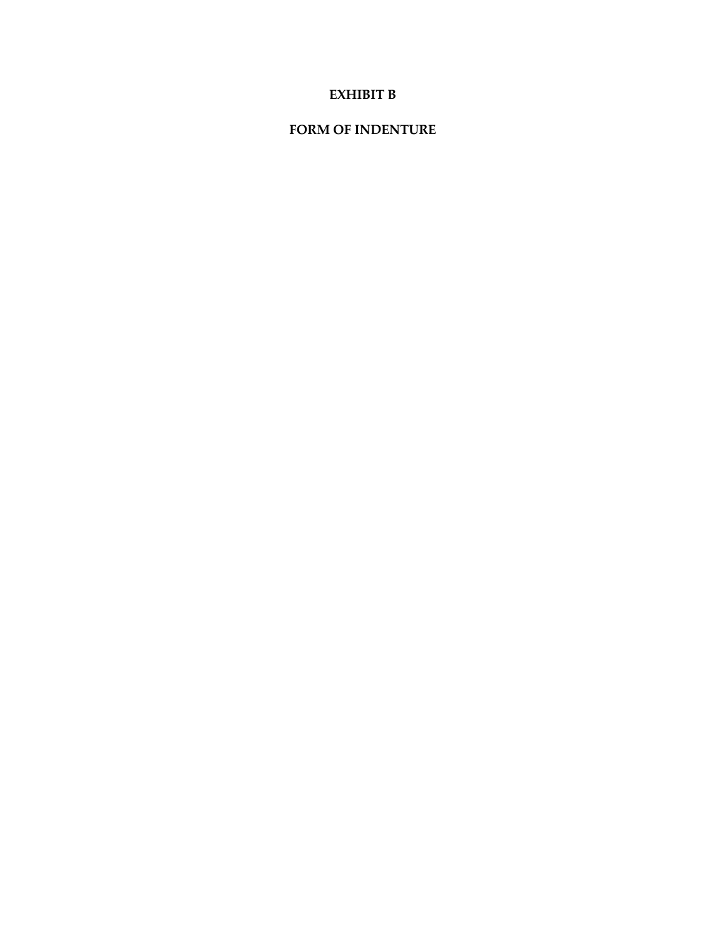### **EXHIBIT B**

### **FORM OF INDENTURE**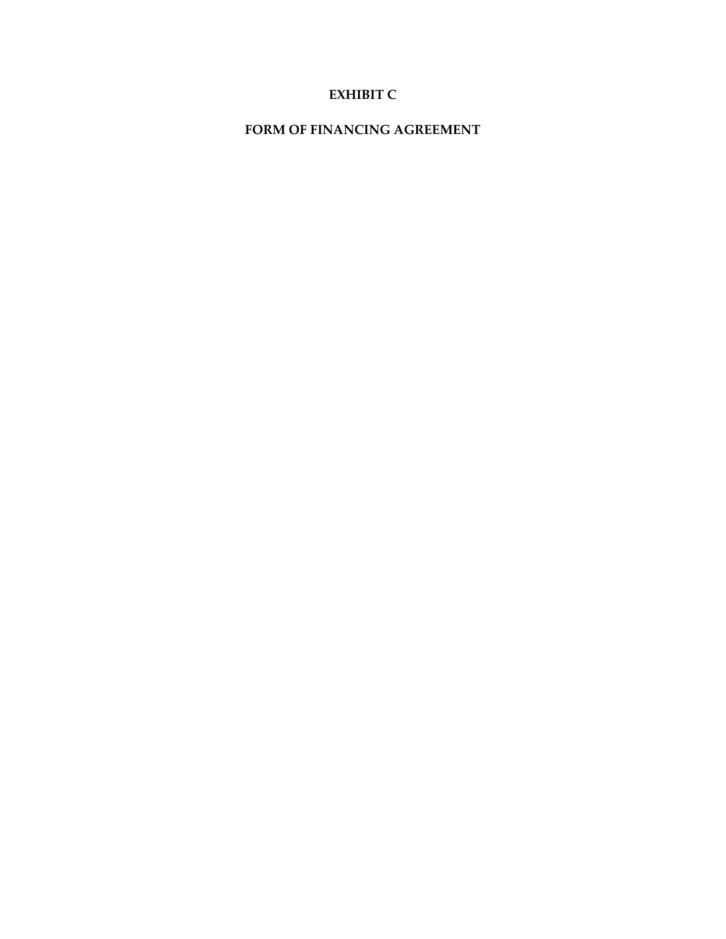# **EXHIBIT C**

### **FORM OF FINANCING AGREEMENT**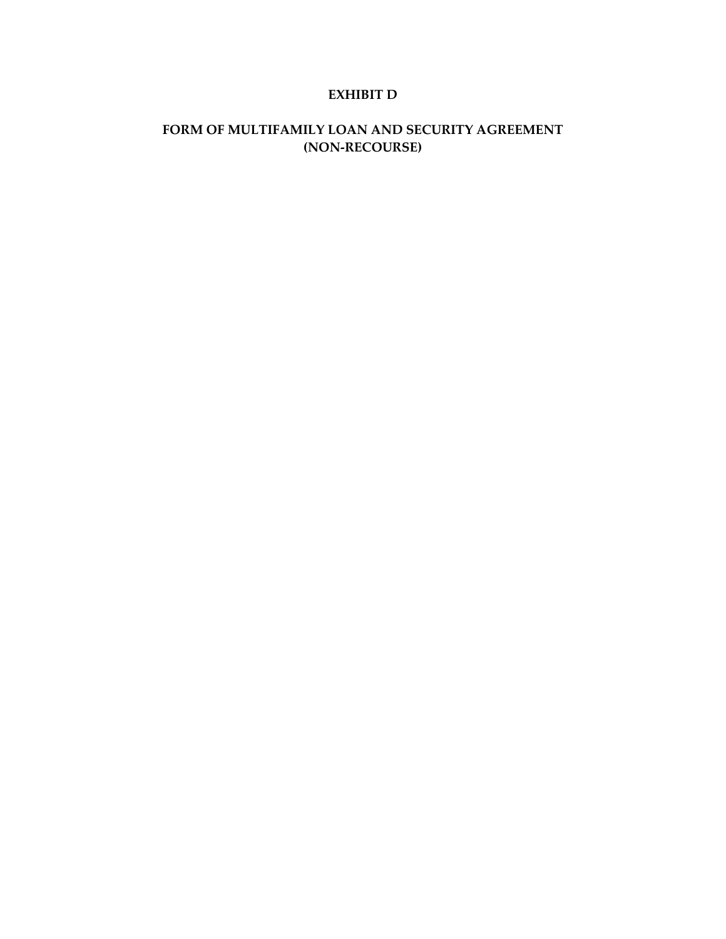### **EXHIBIT D**

# **FORM OF MULTIFAMILY LOAN AND SECURITY AGREEMENT (NON-RECOURSE)**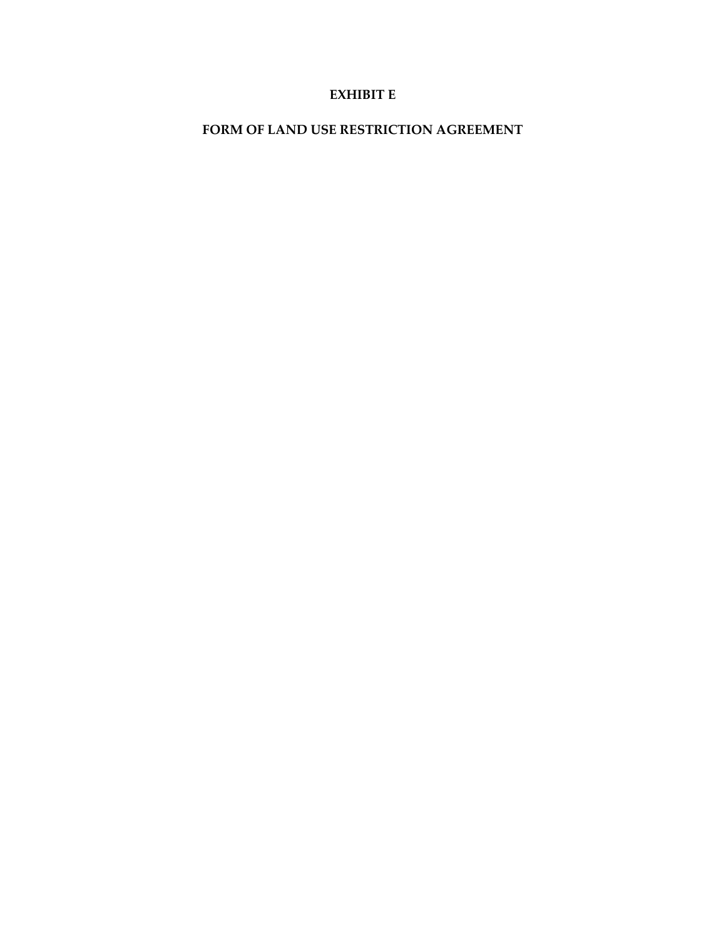### **EXHIBIT E**

# **FORM OF LAND USE RESTRICTION AGREEMENT**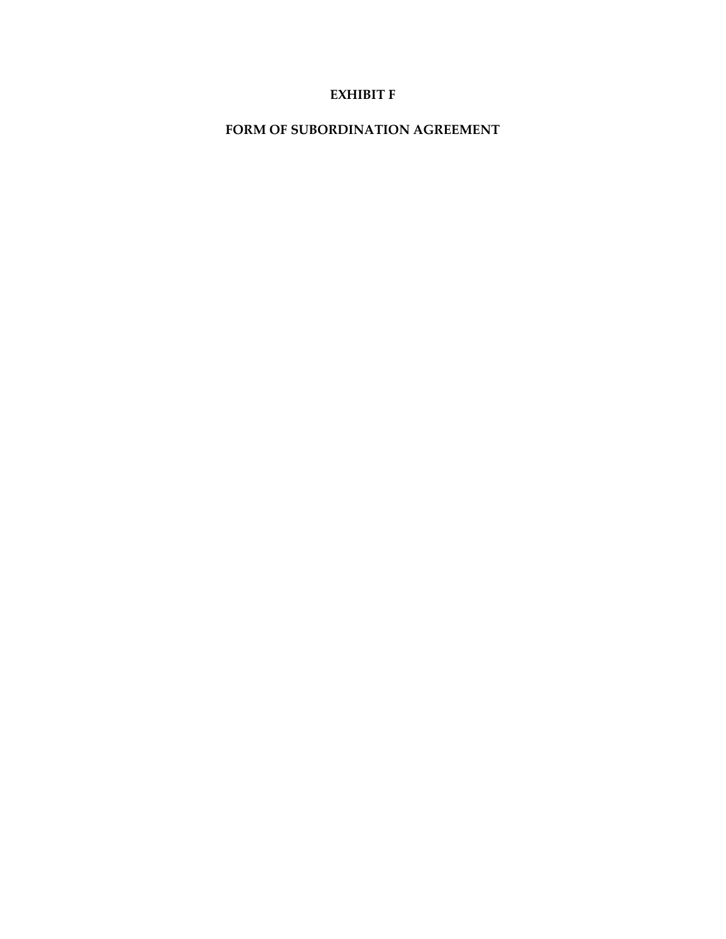### **EXHIBIT F**

**FORM OF SUBORDINATION AGREEMENT**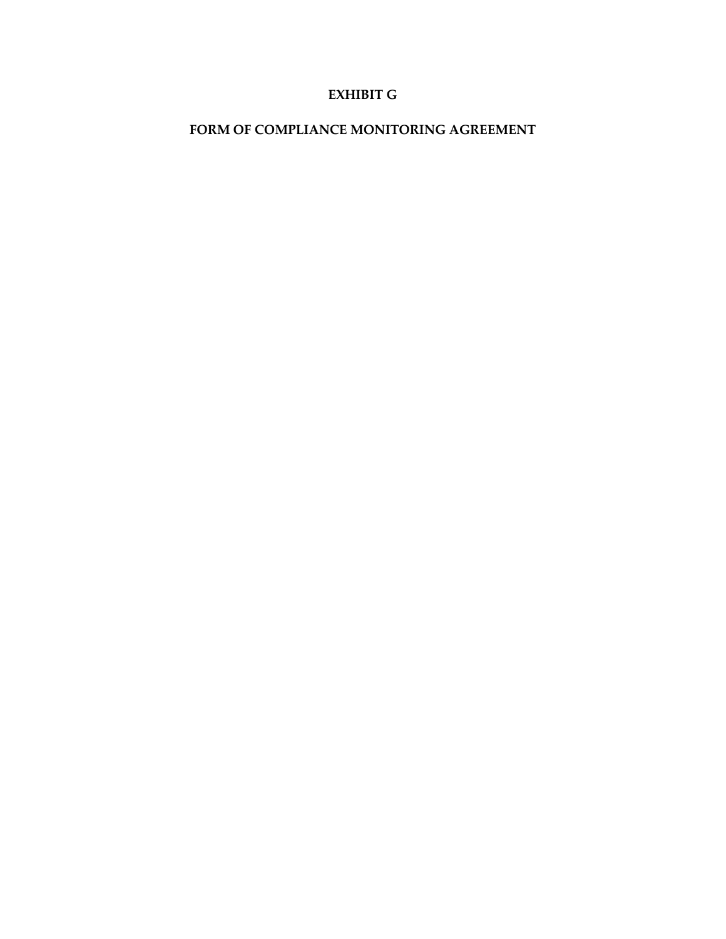### **EXHIBIT G**

### **FORM OF COMPLIANCE MONITORING AGREEMENT**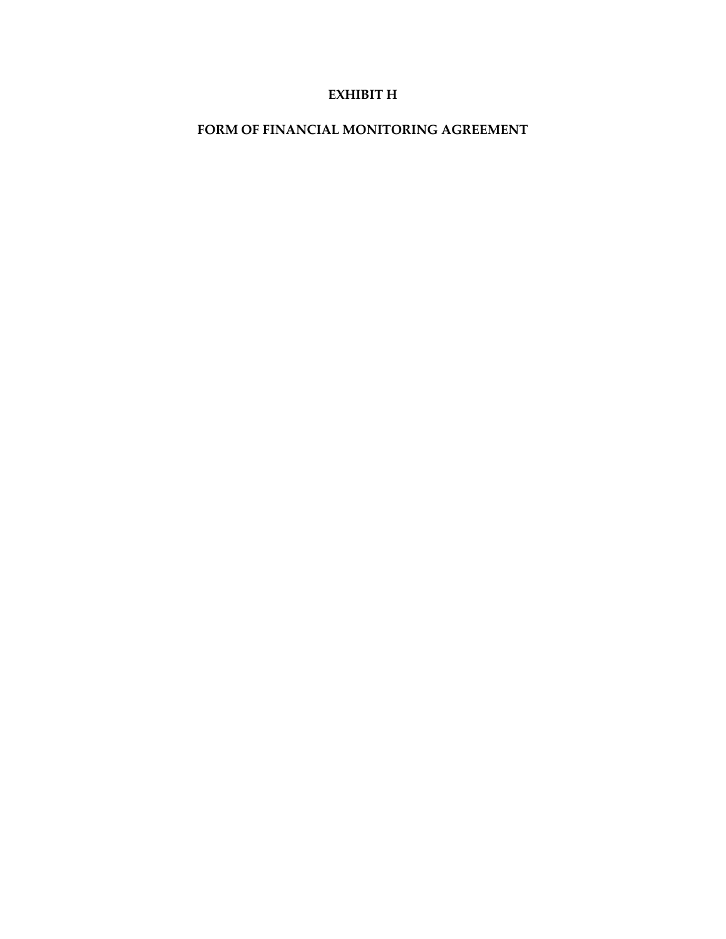### **EXHIBIT H**

### **FORM OF FINANCIAL MONITORING AGREEMENT**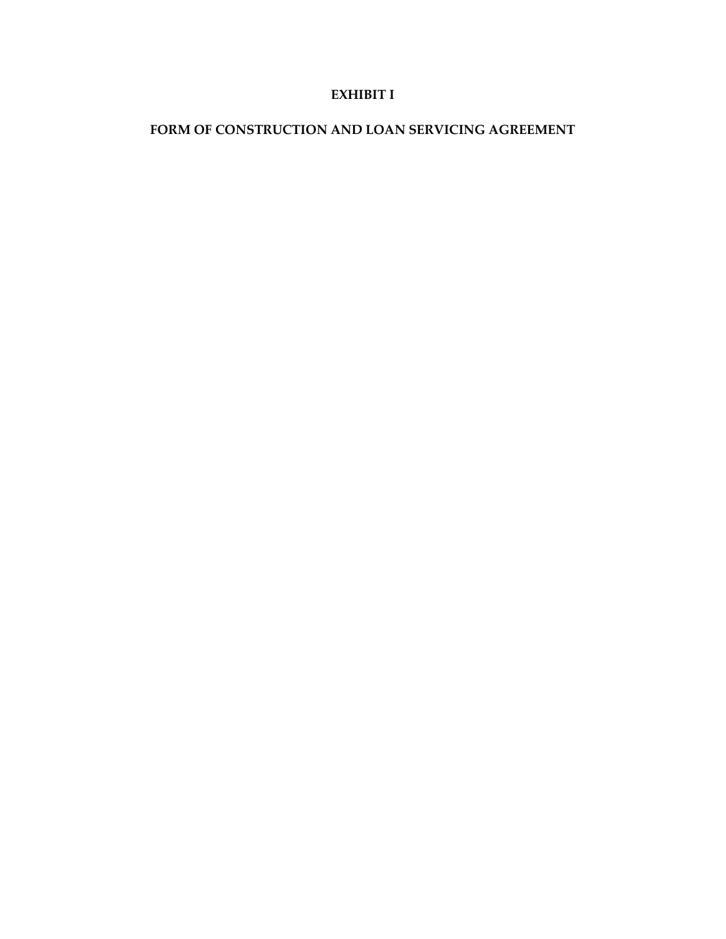### **EXHIBIT I**

# **FORM OF CONSTRUCTION AND LOAN SERVICING AGREEMENT**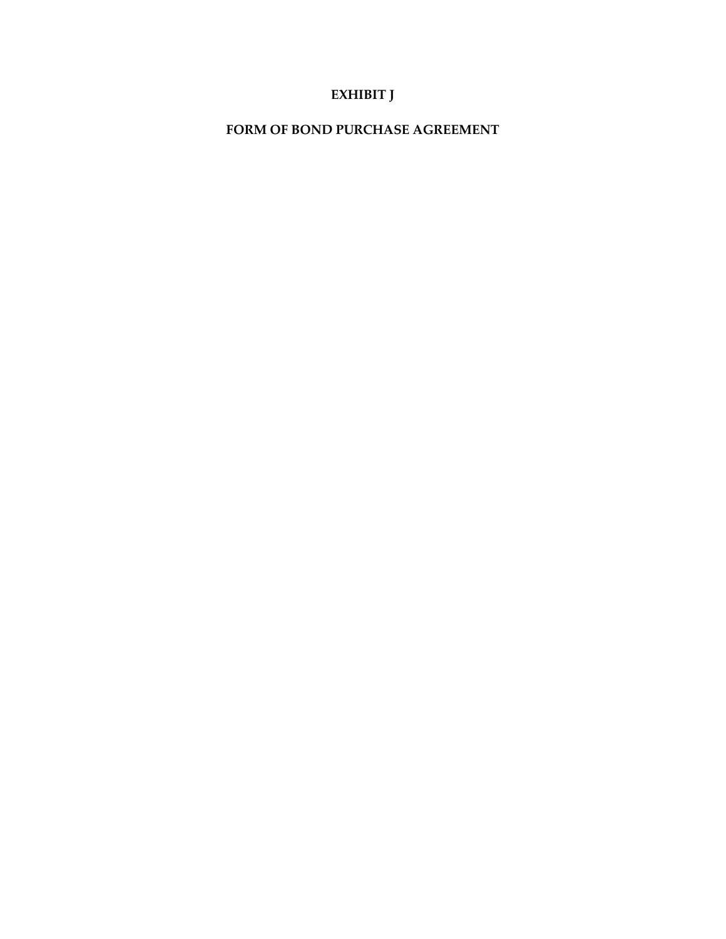# **EXHIBIT J**

**FORM OF BOND PURCHASE AGREEMENT**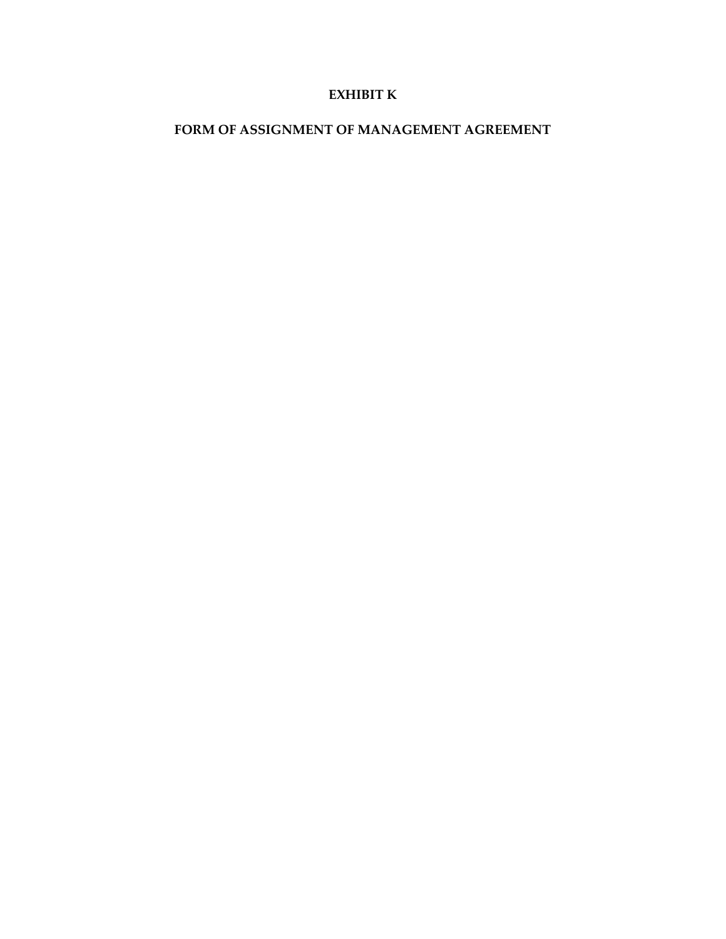### **EXHIBIT K**

### **FORM OF ASSIGNMENT OF MANAGEMENT AGREEMENT**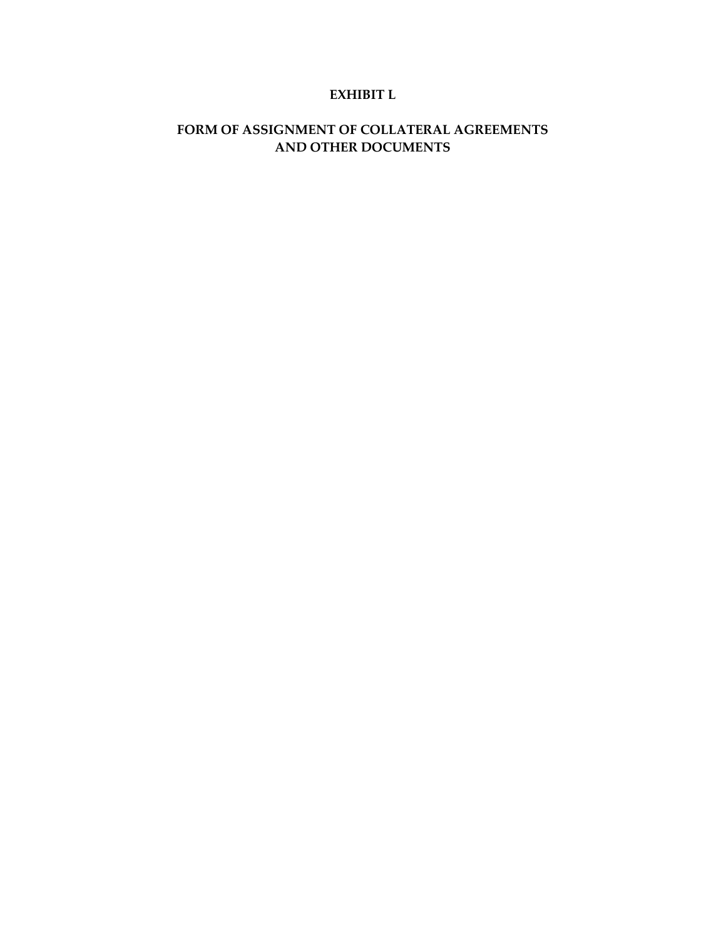### **EXHIBIT L**

# **FORM OF ASSIGNMENT OF COLLATERAL AGREEMENTS AND OTHER DOCUMENTS**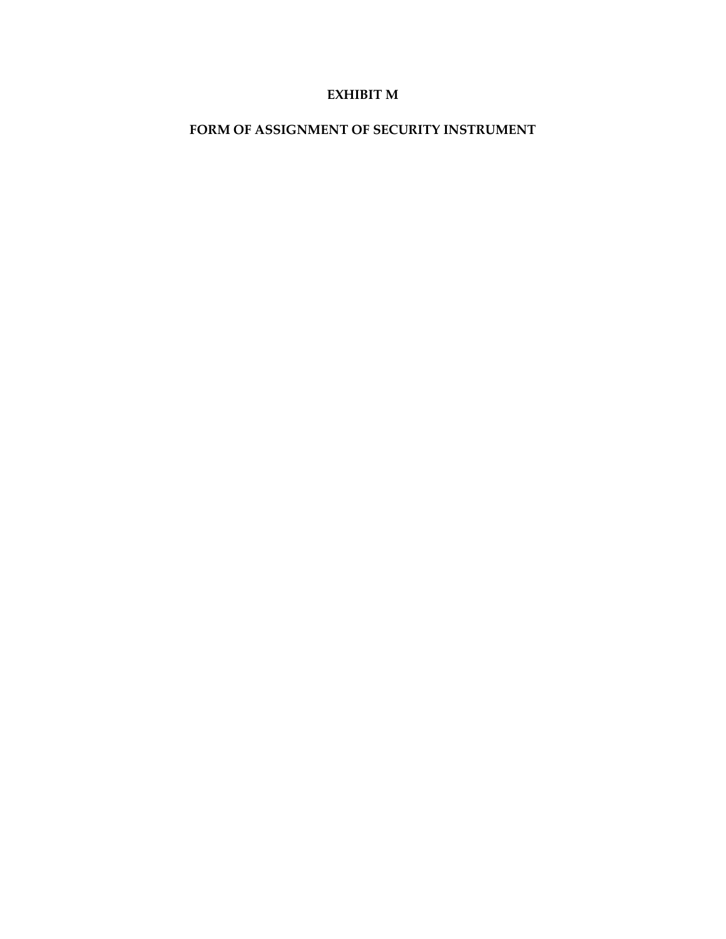### **EXHIBIT M**

# **FORM OF ASSIGNMENT OF SECURITY INSTRUMENT**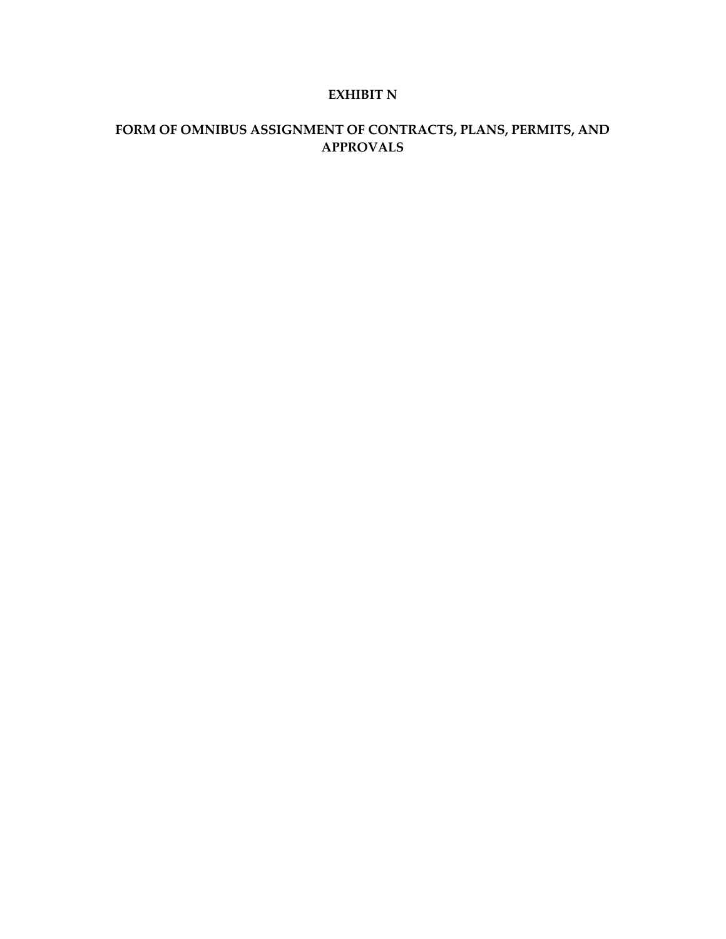### **EXHIBIT N**

# **FORM OF OMNIBUS ASSIGNMENT OF CONTRACTS, PLANS, PERMITS, AND APPROVALS**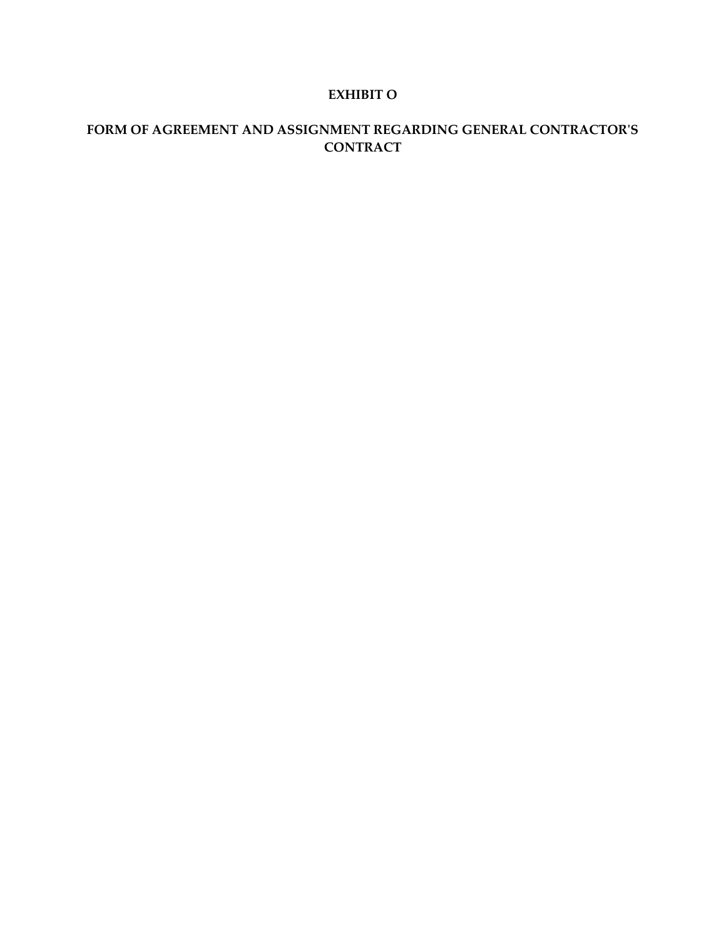### **EXHIBIT O**

# **FORM OF AGREEMENT AND ASSIGNMENT REGARDING GENERAL CONTRACTOR'S CONTRACT**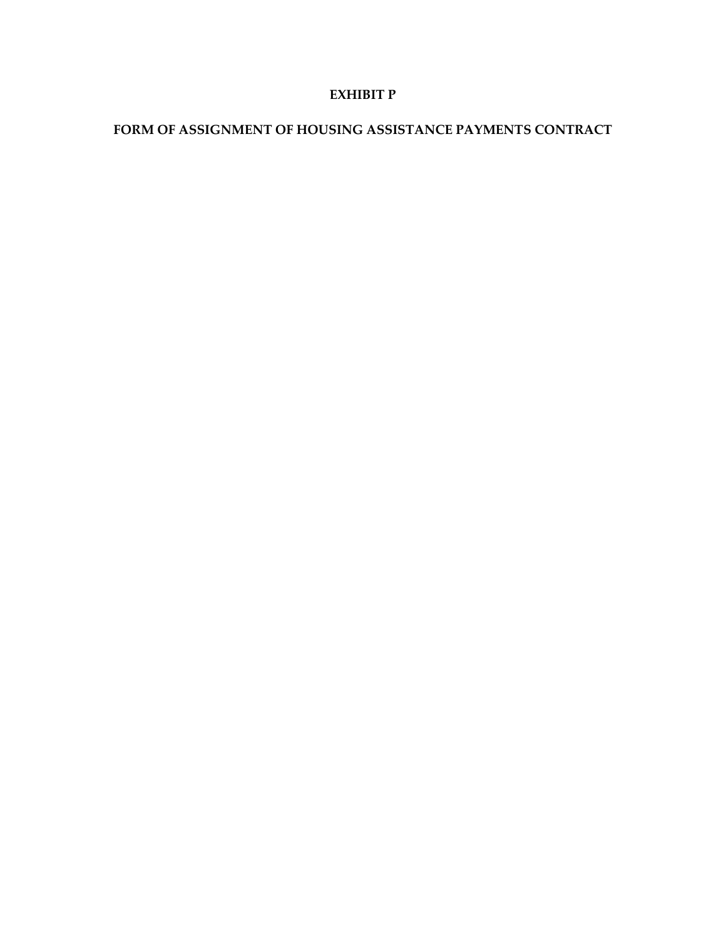### **EXHIBIT P**

# **FORM OF ASSIGNMENT OF HOUSING ASSISTANCE PAYMENTS CONTRACT**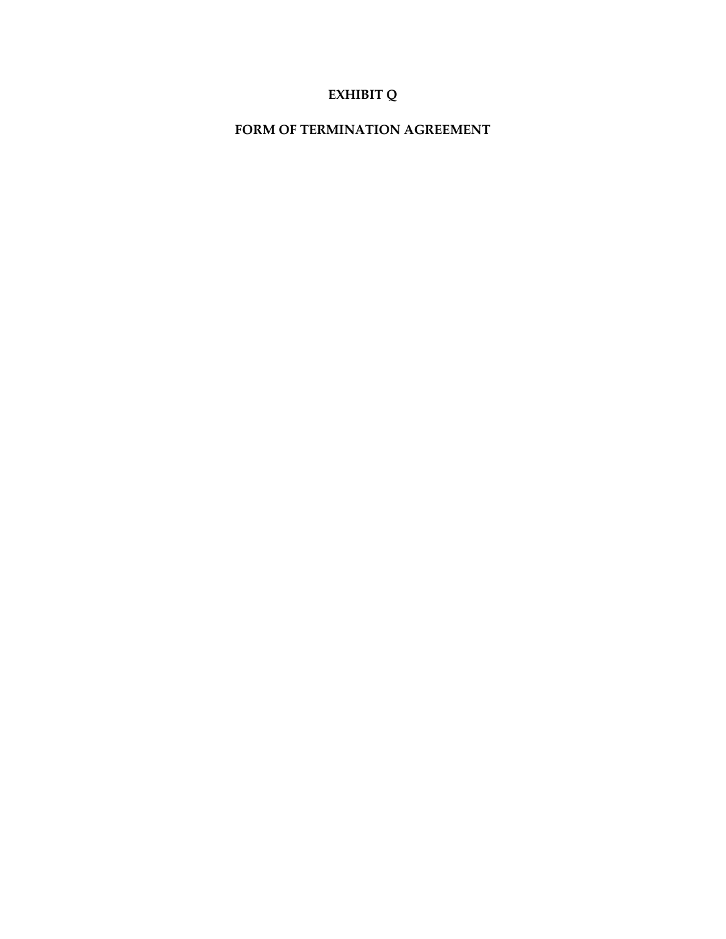# **EXHIBIT Q**

**FORM OF TERMINATION AGREEMENT**